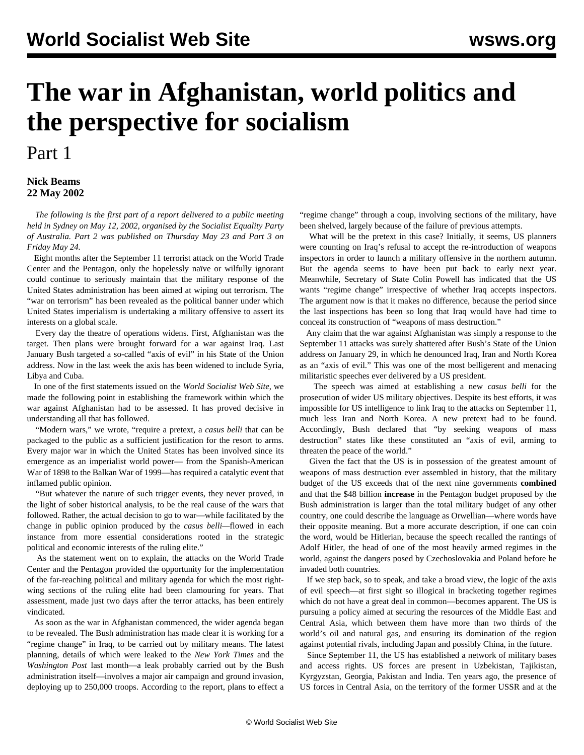## **The war in Afghanistan, world politics and the perspective for socialism**

## Part 1

## **Nick Beams 22 May 2002**

 *The following is the first part of a report delivered to a public meeting held in Sydney on May 12, 2002, organised by the Socialist Equality Party of Australia. Part 2 was published on Thursday May 23 and Part 3 on Friday May 24.*

 Eight months after the September 11 terrorist attack on the World Trade Center and the Pentagon, only the hopelessly naïve or wilfully ignorant could continue to seriously maintain that the military response of the United States administration has been aimed at wiping out terrorism. The "war on terrorism" has been revealed as the political banner under which United States imperialism is undertaking a military offensive to assert its interests on a global scale.

 Every day the theatre of operations widens. First, Afghanistan was the target. Then plans were brought forward for a war against Iraq. Last January Bush targeted a so-called "axis of evil" in his State of the Union address. Now in the last week the axis has been widened to include Syria, Libya and Cuba.

 In one of the first statements issued on the *World Socialist Web Site*, we made the following point in establishing the framework within which the war against Afghanistan had to be assessed. It has proved decisive in understanding all that has followed.

 "Modern wars," we wrote, "require a pretext, a *casus belli* that can be packaged to the public as a sufficient justification for the resort to arms. Every major war in which the United States has been involved since its emergence as an imperialist world power— from the Spanish-American War of 1898 to the Balkan War of 1999—has required a catalytic event that inflamed public opinion.

 "But whatever the nature of such trigger events, they never proved, in the light of sober historical analysis, to be the real cause of the wars that followed. Rather, the actual decision to go to war—while facilitated by the change in public opinion produced by the *casus belli—*flowed in each instance from more essential considerations rooted in the strategic political and economic interests of the ruling elite."

 As the statement went on to explain, the attacks on the World Trade Center and the Pentagon provided the opportunity for the implementation of the far-reaching political and military agenda for which the most rightwing sections of the ruling elite had been clamouring for years. That assessment, made just two days after the terror attacks, has been entirely vindicated.

 As soon as the war in Afghanistan commenced, the wider agenda began to be revealed. The Bush administration has made clear it is working for a "regime change" in Iraq, to be carried out by military means. The latest planning, details of which were leaked to the *New York Times* and the *Washington Post* last month—a leak probably carried out by the Bush administration itself—involves a major air campaign and ground invasion, deploying up to 250,000 troops. According to the report, plans to effect a "regime change" through a coup, involving sections of the military, have been shelved, largely because of the failure of previous attempts.

 What will be the pretext in this case? Initially, it seems, US planners were counting on Iraq's refusal to accept the re-introduction of weapons inspectors in order to launch a military offensive in the northern autumn. But the agenda seems to have been put back to early next year. Meanwhile, Secretary of State Colin Powell has indicated that the US wants "regime change" irrespective of whether Iraq accepts inspectors. The argument now is that it makes no difference, because the period since the last inspections has been so long that Iraq would have had time to conceal its construction of "weapons of mass destruction."

 Any claim that the war against Afghanistan was simply a response to the September 11 attacks was surely shattered after Bush's State of the Union address on January 29, in which he denounced Iraq, Iran and North Korea as an "axis of evil." This was one of the most belligerent and menacing militaristic speeches ever delivered by a US president.

 The speech was aimed at establishing a new *casus belli* for the prosecution of wider US military objectives. Despite its best efforts, it was impossible for US intelligence to link Iraq to the attacks on September 11, much less Iran and North Korea. A new pretext had to be found. Accordingly, Bush declared that "by seeking weapons of mass destruction" states like these constituted an "axis of evil, arming to threaten the peace of the world."

 Given the fact that the US is in possession of the greatest amount of weapons of mass destruction ever assembled in history, that the military budget of the US exceeds that of the next nine governments **combined** and that the \$48 billion **increase** in the Pentagon budget proposed by the Bush administration is larger than the total military budget of any other country, one could describe the language as Orwellian—where words have their opposite meaning. But a more accurate description, if one can coin the word, would be Hitlerian, because the speech recalled the rantings of Adolf Hitler, the head of one of the most heavily armed regimes in the world, against the dangers posed by Czechoslovakia and Poland before he invaded both countries.

 If we step back, so to speak, and take a broad view, the logic of the axis of evil speech—at first sight so illogical in bracketing together regimes which do not have a great deal in common—becomes apparent. The US is pursuing a policy aimed at securing the resources of the Middle East and Central Asia, which between them have more than two thirds of the world's oil and natural gas, and ensuring its domination of the region against potential rivals, including Japan and possibly China, in the future.

 Since September 11, the US has established a network of military bases and access rights. US forces are present in Uzbekistan, Tajikistan, Kyrgyzstan, Georgia, Pakistan and India. Ten years ago, the presence of US forces in Central Asia, on the territory of the former USSR and at the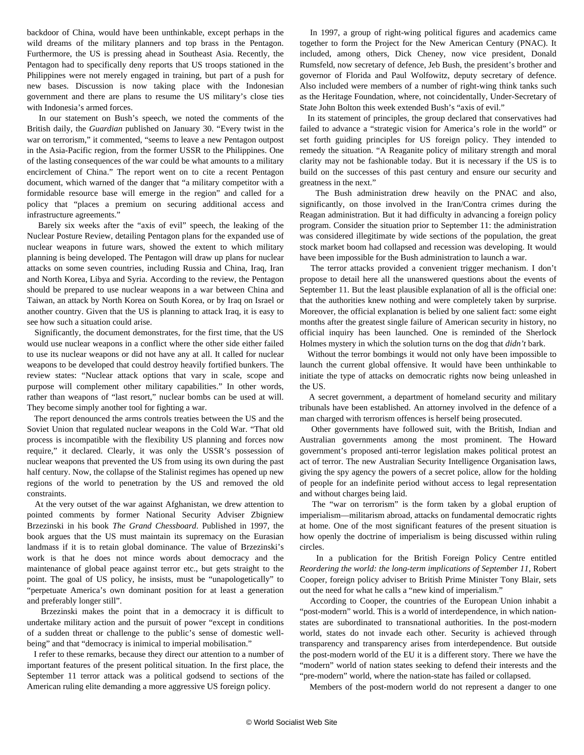backdoor of China, would have been unthinkable, except perhaps in the wild dreams of the military planners and top brass in the Pentagon. Furthermore, the US is pressing ahead in Southeast Asia. Recently, the Pentagon had to specifically deny reports that US troops stationed in the Philippines were not merely engaged in training, but part of a push for new bases. Discussion is now taking place with the Indonesian government and there are plans to resume the US military's close ties with Indonesia's armed forces.

 In our statement on Bush's speech, we noted the comments of the British daily, the *Guardian* published on January 30. "Every twist in the war on terrorism," it commented, "seems to leave a new Pentagon outpost in the Asia-Pacific region, from the former USSR to the Philippines. One of the lasting consequences of the war could be what amounts to a military encirclement of China." The report went on to cite a recent Pentagon document, which warned of the danger that "a military competitor with a formidable resource base will emerge in the region" and called for a policy that "places a premium on securing additional access and infrastructure agreements."

 Barely six weeks after the "axis of evil" speech, the leaking of the Nuclear Posture Review, detailing Pentagon plans for the expanded use of nuclear weapons in future wars, showed the extent to which military planning is being developed. The Pentagon will draw up plans for nuclear attacks on some seven countries, including Russia and China, Iraq, Iran and North Korea, Libya and Syria. According to the review, the Pentagon should be prepared to use nuclear weapons in a war between China and Taiwan, an attack by North Korea on South Korea, or by Iraq on Israel or another country. Given that the US is planning to attack Iraq, it is easy to see how such a situation could arise.

 Significantly, the document demonstrates, for the first time, that the US would use nuclear weapons in a conflict where the other side either failed to use its nuclear weapons or did not have any at all. It called for nuclear weapons to be developed that could destroy heavily fortified bunkers. The review states: "Nuclear attack options that vary in scale, scope and purpose will complement other military capabilities." In other words, rather than weapons of "last resort," nuclear bombs can be used at will. They become simply another tool for fighting a war.

 The report denounced the arms controls treaties between the US and the Soviet Union that regulated nuclear weapons in the Cold War. "That old process is incompatible with the flexibility US planning and forces now require," it declared. Clearly, it was only the USSR's possession of nuclear weapons that prevented the US from using its own during the past half century. Now, the collapse of the Stalinist regimes has opened up new regions of the world to penetration by the US and removed the old constraints.

 At the very outset of the war against Afghanistan, we drew attention to pointed comments by former National Security Adviser Zbigniew Brzezinski in his book *The Grand Chessboard*. Published in 1997, the book argues that the US must maintain its supremacy on the Eurasian landmass if it is to retain global dominance. The value of Brzezinski's work is that he does not mince words about democracy and the maintenance of global peace against terror etc., but gets straight to the point. The goal of US policy, he insists, must be "unapologetically" to "perpetuate America's own dominant position for at least a generation and preferably longer still".

 Brzezinski makes the point that in a democracy it is difficult to undertake military action and the pursuit of power "except in conditions of a sudden threat or challenge to the public's sense of domestic wellbeing" and that "democracy is inimical to imperial mobilisation."

 I refer to these remarks, because they direct our attention to a number of important features of the present political situation. In the first place, the September 11 terror attack was a political godsend to sections of the American ruling elite demanding a more aggressive US foreign policy.

 In 1997, a group of right-wing political figures and academics came together to form the Project for the New American Century (PNAC). It included, among others, Dick Cheney, now vice president, Donald Rumsfeld, now secretary of defence, Jeb Bush, the president's brother and governor of Florida and Paul Wolfowitz, deputy secretary of defence. Also included were members of a number of right-wing think tanks such as the Heritage Foundation, where, not coincidentally, Under-Secretary of State John Bolton this week extended Bush's "axis of evil."

 In its statement of principles, the group declared that conservatives had failed to advance a "strategic vision for America's role in the world" or set forth guiding principles for US foreign policy. They intended to remedy the situation. "A Reaganite policy of military strength and moral clarity may not be fashionable today. But it is necessary if the US is to build on the successes of this past century and ensure our security and greatness in the next."

 The Bush administration drew heavily on the PNAC and also, significantly, on those involved in the Iran/Contra crimes during the Reagan administration. But it had difficulty in advancing a foreign policy program. Consider the situation prior to September 11: the administration was considered illegitimate by wide sections of the population, the great stock market boom had collapsed and recession was developing. It would have been impossible for the Bush administration to launch a war.

 The terror attacks provided a convenient trigger mechanism. I don't propose to detail here all the unanswered questions about the events of September 11. But the least plausible explanation of all is the official one: that the authorities knew nothing and were completely taken by surprise. Moreover, the official explanation is belied by one salient fact: some eight months after the greatest single failure of American security in history, no official inquiry has been launched. One is reminded of the Sherlock Holmes mystery in which the solution turns on the dog that *didn't* bark.

 Without the terror bombings it would not only have been impossible to launch the current global offensive. It would have been unthinkable to initiate the type of attacks on democratic rights now being unleashed in the US.

 A secret government, a department of homeland security and military tribunals have been established. An attorney involved in the defence of a man charged with terrorism offences is herself being prosecuted.

 Other governments have followed suit, with the British, Indian and Australian governments among the most prominent. The Howard government's proposed anti-terror legislation makes political protest an act of terror. The new Australian Security Intelligence Organisation laws, giving the spy agency the powers of a secret police, allow for the holding of people for an indefinite period without access to legal representation and without charges being laid.

 The "war on terrorism" is the form taken by a global eruption of imperialism—militarism abroad, attacks on fundamental democratic rights at home. One of the most significant features of the present situation is how openly the doctrine of imperialism is being discussed within ruling circles.

 In a publication for the British Foreign Policy Centre entitled *Reordering the world: the long-term implications of September 11*, Robert Cooper, foreign policy adviser to British Prime Minister Tony Blair, sets out the need for what he calls a "new kind of imperialism."

 According to Cooper, the countries of the European Union inhabit a "post-modern" world. This is a world of interdependence, in which nationstates are subordinated to transnational authorities. In the post-modern world, states do not invade each other. Security is achieved through transparency and transparency arises from interdependence. But outside the post-modern world of the EU it is a different story. There we have the "modern" world of nation states seeking to defend their interests and the "pre-modern" world, where the nation-state has failed or collapsed.

Members of the post-modern world do not represent a danger to one